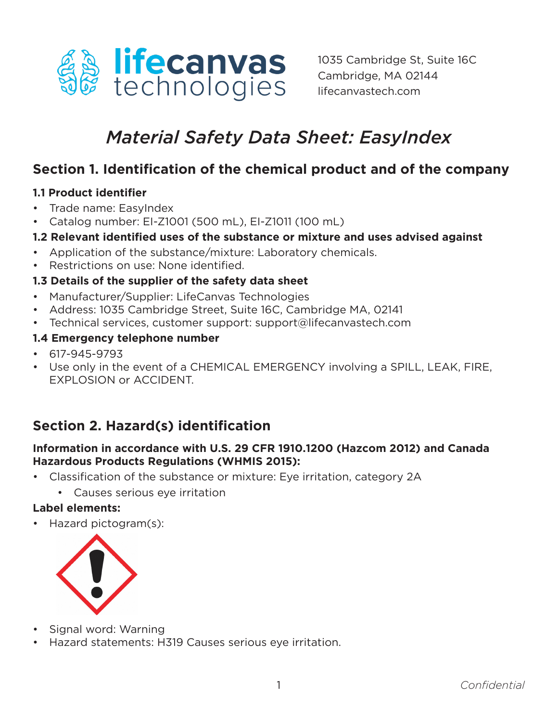

# *Material Safety Data Sheet: EasyIndex*

### **Section 1. Identification of the chemical product and of the company**

#### **1.1 Product identifier**

- Trade name: EasyIndex
- Catalog number: EI-Z1001 (500 mL), EI-Z1011 (100 mL)

#### **1.2 Relevant identified uses of the substance or mixture and uses advised against**

- Application of the substance/mixture: Laboratory chemicals.
- Restrictions on use: None identified.

#### **1.3 Details of the supplier of the safety data sheet**

- Manufacturer/Supplier: LifeCanvas Technologies
- Address: 1035 Cambridge Street, Suite 16C, Cambridge MA, 02141
- Technical services, customer support: support@lifecanvastech.com

#### **1.4 Emergency telephone number**

- 617-945-9793
- Use only in the event of a CHEMICAL EMERGENCY involving a SPILL, LEAK, FIRE, EXPLOSION or ACCIDENT.

# **Section 2. Hazard(s) identification**

#### **Information in accordance with U.S. 29 CFR 1910.1200 (Hazcom 2012) and Canada Hazardous Products Regulations (WHMIS 2015):**

- Classification of the substance or mixture: Eye irritation, category 2A
	- Causes serious eye irritation

#### **Label elements:**

• Hazard pictogram(s):



- Signal word: Warning
- Hazard statements: H319 Causes serious eye irritation.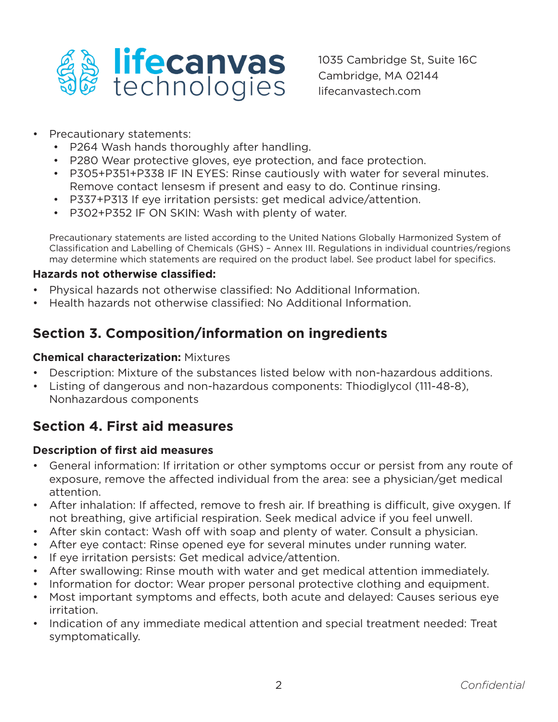

- Precautionary statements:
	- P264 Wash hands thoroughly after handling.
	- P280 Wear protective gloves, eye protection, and face protection.
	- P305+P351+P338 IF IN EYES: Rinse cautiously with water for several minutes. Remove contact lensesm if present and easy to do. Continue rinsing.
	- P337+P313 If eye irritation persists: get medical advice/attention.
	- P302+P352 IF ON SKIN: Wash with plenty of water.

Precautionary statements are listed according to the United Nations Globally Harmonized System of Classification and Labelling of Chemicals (GHS) – Annex III. Regulations in individual countries/regions may determine which statements are required on the product label. See product label for specifics.

#### **Hazards not otherwise classified:**

- Physical hazards not otherwise classified: No Additional Information.
- Health hazards not otherwise classified: No Additional Information.

### **Section 3. Composition/information on ingredients**

#### **Chemical characterization:** Mixtures

- Description: Mixture of the substances listed below with non-hazardous additions.
- Listing of dangerous and non-hazardous components: Thiodiglycol (111-48-8), Nonhazardous components

### **Section 4. First aid measures**

#### **Description of first aid measures**

- General information: If irritation or other symptoms occur or persist from any route of exposure, remove the affected individual from the area: see a physician/get medical attention.
- After inhalation: If affected, remove to fresh air. If breathing is difficult, give oxygen. If not breathing, give artificial respiration. Seek medical advice if you feel unwell.
- After skin contact: Wash off with soap and plenty of water. Consult a physician.
- After eye contact: Rinse opened eye for several minutes under running water.
- If eye irritation persists: Get medical advice/attention.
- After swallowing: Rinse mouth with water and get medical attention immediately.
- Information for doctor: Wear proper personal protective clothing and equipment.
- Most important symptoms and effects, both acute and delayed: Causes serious eye irritation.
- Indication of any immediate medical attention and special treatment needed: Treat symptomatically.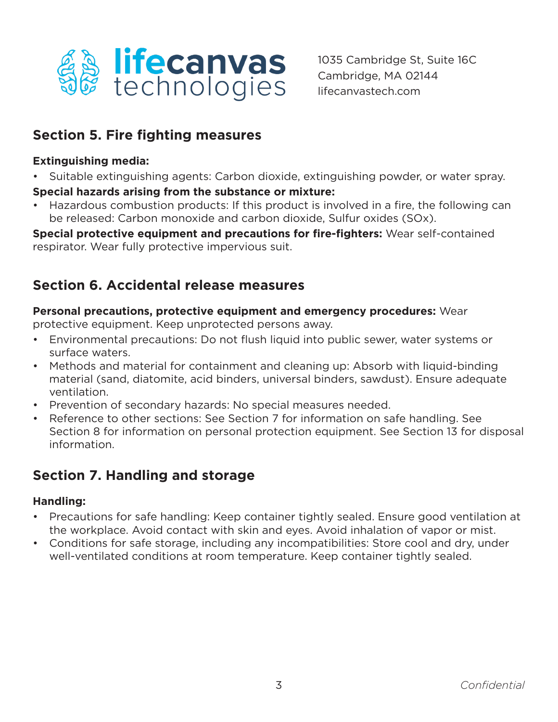

### **Section 5. Fire fighting measures**

#### **Extinguishing media:**

• Suitable extinguishing agents: Carbon dioxide, extinguishing powder, or water spray.

#### **Special hazards arising from the substance or mixture:**

• Hazardous combustion products: If this product is involved in a fire, the following can be released: Carbon monoxide and carbon dioxide, Sulfur oxides (SOx).

**Special protective equipment and precautions for fire-fighters:** Wear self-contained respirator. Wear fully protective impervious suit.

# **Section 6. Accidental release measures**

#### **Personal precautions, protective equipment and emergency procedures:** Wear

protective equipment. Keep unprotected persons away.

- Environmental precautions: Do not flush liquid into public sewer, water systems or surface waters.
- Methods and material for containment and cleaning up: Absorb with liquid-binding material (sand, diatomite, acid binders, universal binders, sawdust). Ensure adequate ventilation.
- Prevention of secondary hazards: No special measures needed.
- Reference to other sections: See Section 7 for information on safe handling. See Section 8 for information on personal protection equipment. See Section 13 for disposal information.

### **Section 7. Handling and storage**

#### **Handling:**

- Precautions for safe handling: Keep container tightly sealed. Ensure good ventilation at the workplace. Avoid contact with skin and eyes. Avoid inhalation of vapor or mist.
- Conditions for safe storage, including any incompatibilities: Store cool and dry, under well-ventilated conditions at room temperature. Keep container tightly sealed.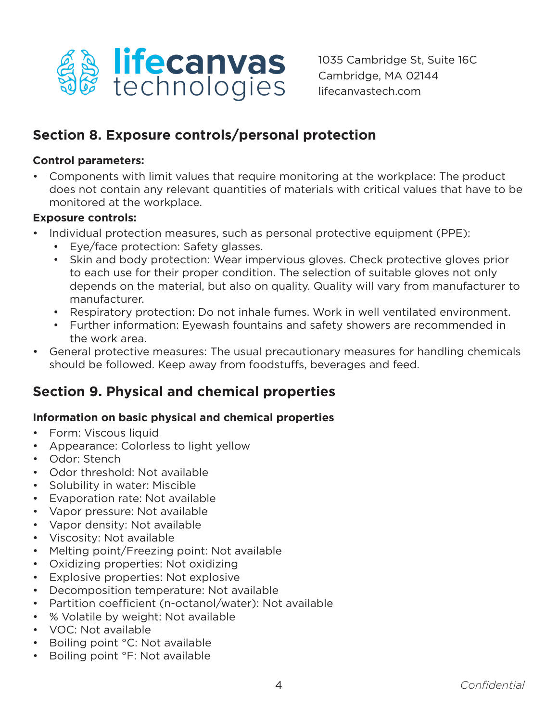

### **Section 8. Exposure controls/personal protection**

#### **Control parameters:**

• Components with limit values that require monitoring at the workplace: The product does not contain any relevant quantities of materials with critical values that have to be monitored at the workplace.

#### **Exposure controls:**

- Individual protection measures, such as personal protective equipment (PPE):
	- Eye/face protection: Safety glasses.
	- Skin and body protection: Wear impervious gloves. Check protective gloves prior to each use for their proper condition. The selection of suitable gloves not only depends on the material, but also on quality. Quality will vary from manufacturer to manufacturer.
	- Respiratory protection: Do not inhale fumes. Work in well ventilated environment.
	- Further information: Eyewash fountains and safety showers are recommended in the work area.
- General protective measures: The usual precautionary measures for handling chemicals should be followed. Keep away from foodstuffs, beverages and feed.

### **Section 9. Physical and chemical properties**

#### **Information on basic physical and chemical properties**

- Form: Viscous liquid
- Appearance: Colorless to light yellow
- Odor: Stench
- Odor threshold: Not available
- Solubility in water: Miscible
- Evaporation rate: Not available
- Vapor pressure: Not available
- Vapor density: Not available
- Viscosity: Not available
- Melting point/Freezing point: Not available
- Oxidizing properties: Not oxidizing
- Explosive properties: Not explosive
- Decomposition temperature: Not available
- Partition coefficient (n-octanol/water): Not available
- % Volatile by weight: Not available
- VOC: Not available
- Boiling point °C: Not available
- Boiling point °F: Not available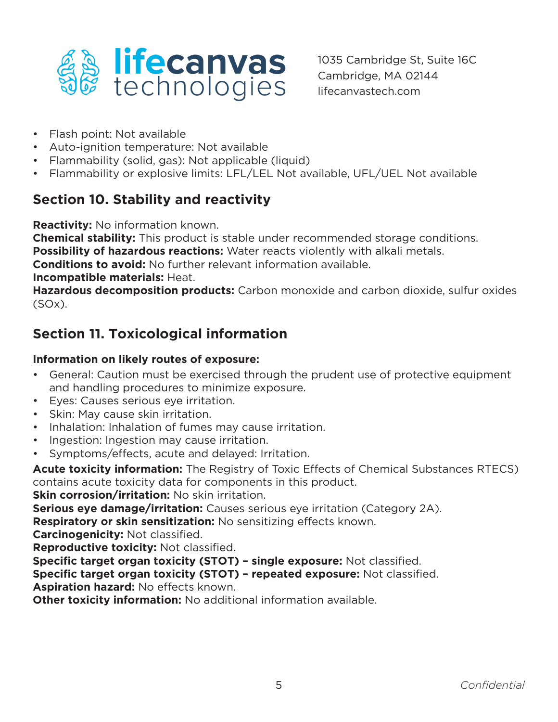

- Flash point: Not available
- Auto-ignition temperature: Not available
- Flammability (solid, gas): Not applicable (liquid)
- Flammability or explosive limits: LFL/LEL Not available, UFL/UEL Not available

# **Section 10. Stability and reactivity**

**Reactivity:** No information known.

**Chemical stability:** This product is stable under recommended storage conditions. **Possibility of hazardous reactions:** Water reacts violently with alkali metals.

**Conditions to avoid:** No further relevant information available.

**Incompatible materials:** Heat.

**Hazardous decomposition products:** Carbon monoxide and carbon dioxide, sulfur oxides  $(SOx)$ .

# **Section 11. Toxicological information**

### **Information on likely routes of exposure:**

- General: Caution must be exercised through the prudent use of protective equipment and handling procedures to minimize exposure.
- Eyes: Causes serious eye irritation.
- Skin: May cause skin irritation.
- Inhalation: Inhalation of fumes may cause irritation.
- Ingestion: Ingestion may cause irritation.
- Symptoms/effects, acute and delayed: Irritation.

**Acute toxicity information:** The Registry of Toxic Effects of Chemical Substances RTECS) contains acute toxicity data for components in this product.

**Skin corrosion/irritation:** No skin irritation.

**Serious eye damage/irritation:** Causes serious eye irritation (Category 2A).

**Respiratory or skin sensitization:** No sensitizing effects known.

**Carcinogenicity:** Not classified.

**Reproductive toxicity:** Not classified.

**Specific target organ toxicity (STOT) – single exposure:** Not classified.

**Specific target organ toxicity (STOT) – repeated exposure:** Not classified.

**Aspiration hazard:** No effects known.

**Other toxicity information:** No additional information available.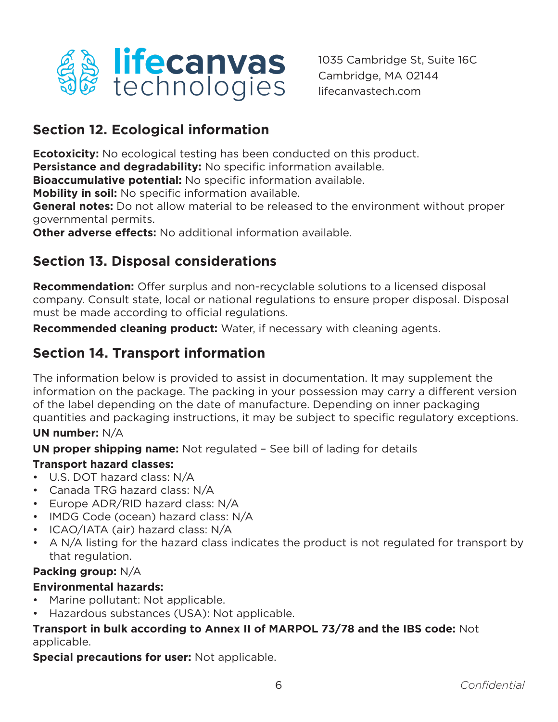

# **Section 12. Ecological information**

**Ecotoxicity:** No ecological testing has been conducted on this product.

**Persistance and degradability:** No specific information available.

**Bioaccumulative potential:** No specific information available.

**Mobility in soil:** No specific information available.

**General notes:** Do not allow material to be released to the environment without proper governmental permits.

**Other adverse effects:** No additional information available.

# **Section 13. Disposal considerations**

**Recommendation:** Offer surplus and non-recyclable solutions to a licensed disposal company. Consult state, local or national regulations to ensure proper disposal. Disposal must be made according to official regulations.

**Recommended cleaning product:** Water, if necessary with cleaning agents.

# **Section 14. Transport information**

The information below is provided to assist in documentation. It may supplement the information on the package. The packing in your possession may carry a different version of the label depending on the date of manufacture. Depending on inner packaging quantities and packaging instructions, it may be subject to specific regulatory exceptions. **UN number:** N/A

**UN proper shipping name:** Not regulated – See bill of lading for details

### **Transport hazard classes:**

- U.S. DOT hazard class: N/A
- Canada TRG hazard class: N/A
- Europe ADR/RID hazard class: N/A
- IMDG Code (ocean) hazard class: N/A
- ICAO/IATA (air) hazard class: N/A
- A N/A listing for the hazard class indicates the product is not regulated for transport by that regulation.

### **Packing group:** N/A

### **Environmental hazards:**

- Marine pollutant: Not applicable.
- Hazardous substances (USA): Not applicable.

### **Transport in bulk according to Annex II of MARPOL 73/78 and the IBS code:** Not applicable.

**Special precautions for user:** Not applicable.